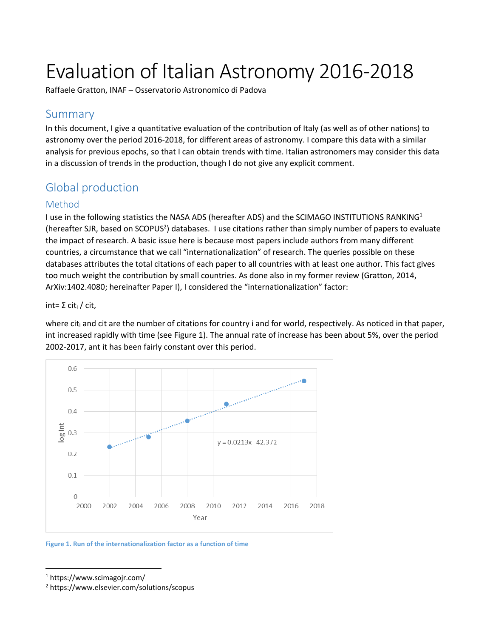# Evaluation of Italian Astronomy 2016-2018

Raffaele Gratton, INAF – Osservatorio Astronomico di Padova

## Summary

In this document, I give a quantitative evaluation of the contribution of Italy (as well as of other nations) to astronomy over the period 2016-2018, for different areas of astronomy. I compare this data with a similar analysis for previous epochs, so that I can obtain trends with time. Italian astronomers may consider this data in a discussion of trends in the production, though I do not give any explicit comment.

# Global production

## Method

I use in the following statistics the NASA ADS (hereafter ADS) and the SCIMAGO INSTITUTIONS RANKING<sup>1</sup> (hereafter SJR, based on SCOPUS<sup>2</sup>) databases. I use citations rather than simply number of papers to evaluate the impact of research. A basic issue here is because most papers include authors from many different countries, a circumstance that we call "internationalization" of research. The queries possible on these databases attributes the total citations of each paper to all countries with at least one author. This fact gives too much weight the contribution by small countries. As done also in my former review (Gratton, 2014, ArXiv:1402.4080; hereinafter Paper I), I considered the "internationalization" factor:

int= Σ cit<sub>i</sub> / cit,

where cit<sub>i</sub> and cit are the number of citations for country i and for world, respectively. As noticed in that paper, int increased rapidly with time (see [Figure 1\)](#page-0-0). The annual rate of increase has been about 5%, over the period 2002-2017, ant it has been fairly constant over this period.



<span id="page-0-0"></span>**Figure 1. Run of the internationalization factor as a function of time**

 $\overline{a}$ 

<sup>1</sup> https://www.scimagojr.com/

<sup>2</sup> https://www.elsevier.com/solutions/scopus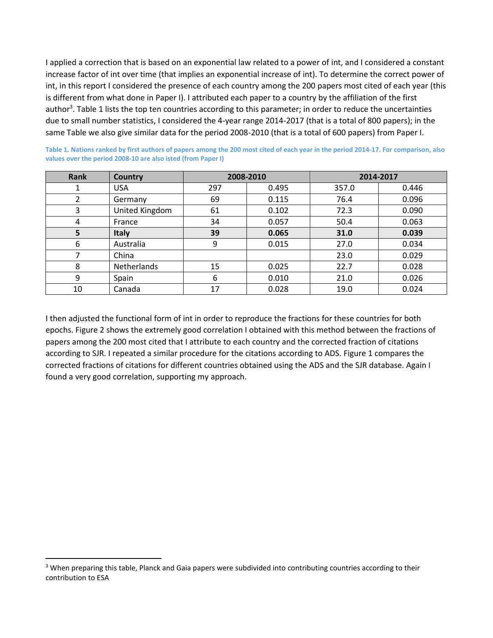I applied a correction that is based on an exponential law related to a power of int, and I considered a constant increase factor of int over time (that implies an exponential increase of int). To determine the correct power of int, in this report I considered the presence of each country among the 200 papers most cited of each year (this is different from what done in Paper I). I attributed each paper to a country by the affiliation of the first author<sup>3</sup>[. Table 1](#page-1-0) lists the top ten countries according to this parameter; in order to reduce the uncertainties due to small number statistics, I considered the 4-year range 2014-2017 (that is a total of 800 papers); in the same Table we also give similar data for the period 2008-2010 (that is a total of 600 papers) from Paper I.

| <b>Rank</b> | Country        |     | 2008-2010 |       | 2014-2017 |  |
|-------------|----------------|-----|-----------|-------|-----------|--|
|             | <b>USA</b>     | 297 | 0.495     | 357.0 | 0.446     |  |
|             | Germany        | 69  | 0.115     | 76.4  | 0.096     |  |
| 3           | United Kingdom | 61  | 0.102     | 72.3  | 0.090     |  |
| 4           | France         | 34  | 0.057     | 50.4  | 0.063     |  |
| 5           | <b>Italy</b>   | 39  | 0.065     | 31.0  | 0.039     |  |
| 6           | Australia      | 9   | 0.015     | 27.0  | 0.034     |  |
| 7           | China          |     |           | 23.0  | 0.029     |  |
| 8           | Netherlands    | 15  | 0.025     | 22.7  | 0.028     |  |
| 9           | Spain          | 6   | 0.010     | 21.0  | 0.026     |  |
| 10          | Canada         | 17  | 0.028     | 19.0  | 0.024     |  |

<span id="page-1-0"></span>**Table 1. Nations ranked by first authors of papers among the 200 most cited of each year in the period 2014-17. For comparison, also values over the period 2008-10 are also isted (from Paper I)**

I then adjusted the functional form of int in order to reproduce the fractions for these countries for both epochs. Figure 2 shows the extremely good correlation I obtained with this method between the fractions of papers among the 200 most cited that I attribute to each country and the corrected fraction of citations according to SJR. I repeated a similar procedure for the citations according to ADS. [Figure 1](#page-0-0) compares the corrected fractions of citations for different countries obtained using the ADS and the SJR database. Again I found a very good correlation, supporting my approach.

l

<sup>&</sup>lt;sup>3</sup> When preparing this table, Planck and Gaia papers were subdivided into contributing countries according to their contribution to ESA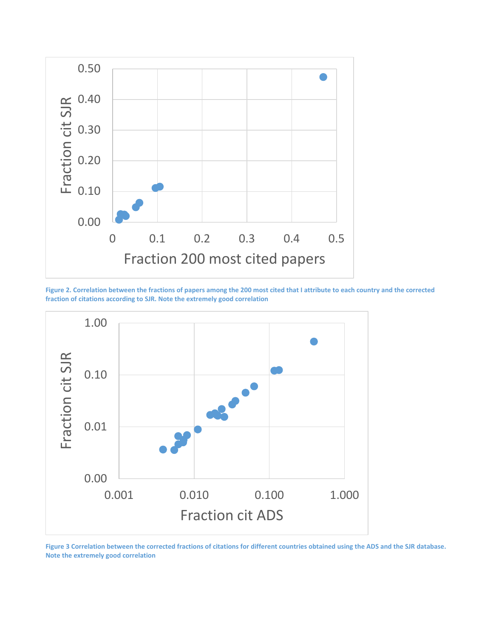

**Figure 2. Correlation between the fractions of papers among the 200 most cited that I attribute to each country and the corrected fraction of citations according to SJR. Note the extremely good correlation**



**Figure 3 Correlation between the corrected fractions of citations for different countries obtained using the ADS and the SJR database. Note the extremely good correlation**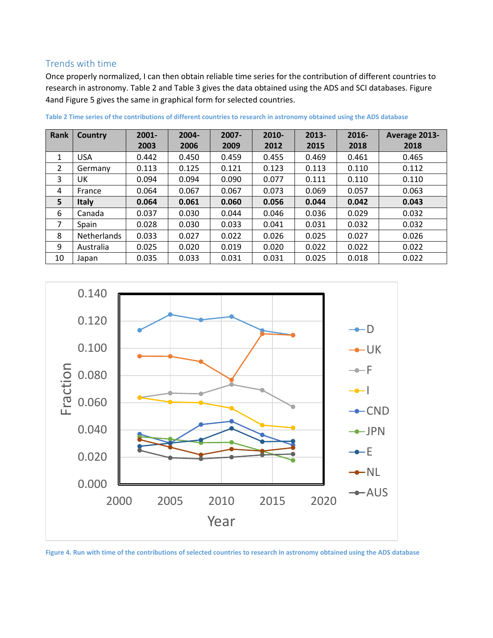## Trends with time

Once properly normalized, I can then obtain reliable time series for the contribution of different countries to research in astronomy. [Table 2](#page-3-0) and [Table 3](#page-4-0) gives the data obtained using the ADS and SCI databases. [Figure](#page-3-1)  [4a](#page-3-1)n[d Figure 5](#page-5-0) gives the same in graphical form for selected countries.

| Rank         | Country            | $2001 -$ | 2004- | $2007 -$ | 2010- | $2013 -$ | $2016 -$ | Average 2013- |
|--------------|--------------------|----------|-------|----------|-------|----------|----------|---------------|
|              |                    | 2003     | 2006  | 2009     | 2012  | 2015     | 2018     | 2018          |
| $\mathbf{1}$ | <b>USA</b>         | 0.442    | 0.450 | 0.459    | 0.455 | 0.469    | 0.461    | 0.465         |
| 2            | Germany            | 0.113    | 0.125 | 0.121    | 0.123 | 0.113    | 0.110    | 0.112         |
| 3            | UK                 | 0.094    | 0.094 | 0.090    | 0.077 | 0.111    | 0.110    | 0.110         |
| 4            | France             | 0.064    | 0.067 | 0.067    | 0.073 | 0.069    | 0.057    | 0.063         |
| 5            | Italy              | 0.064    | 0.061 | 0.060    | 0.056 | 0.044    | 0.042    | 0.043         |
| 6            | Canada             | 0.037    | 0.030 | 0.044    | 0.046 | 0.036    | 0.029    | 0.032         |
| 7            | Spain              | 0.028    | 0.030 | 0.033    | 0.041 | 0.031    | 0.032    | 0.032         |
| 8            | <b>Netherlands</b> | 0.033    | 0.027 | 0.022    | 0.026 | 0.025    | 0.027    | 0.026         |
| 9            | Australia          | 0.025    | 0.020 | 0.019    | 0.020 | 0.022    | 0.022    | 0.022         |
| 10           | Japan              | 0.035    | 0.033 | 0.031    | 0.031 | 0.025    | 0.018    | 0.022         |

<span id="page-3-0"></span>**Table 2 Time series of the contributions of different countries to research in astronomy obtained using the ADS database**



<span id="page-3-1"></span>**Figure 4. Run with time of the contributions of selected countries to research in astronomy obtained using the ADS database**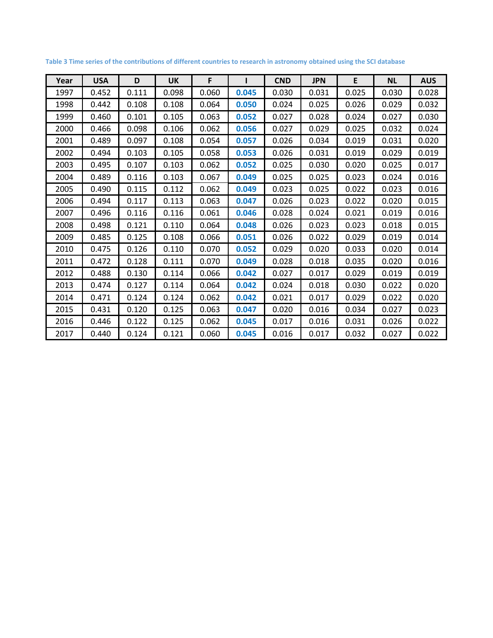| Year | <b>USA</b> | D     | <b>UK</b> | F     |       | <b>CND</b> | <b>JPN</b> | E     | <b>NL</b> | <b>AUS</b> |
|------|------------|-------|-----------|-------|-------|------------|------------|-------|-----------|------------|
| 1997 | 0.452      | 0.111 | 0.098     | 0.060 | 0.045 | 0.030      | 0.031      | 0.025 | 0.030     | 0.028      |
| 1998 | 0.442      | 0.108 | 0.108     | 0.064 | 0.050 | 0.024      | 0.025      | 0.026 | 0.029     | 0.032      |
| 1999 | 0.460      | 0.101 | 0.105     | 0.063 | 0.052 | 0.027      | 0.028      | 0.024 | 0.027     | 0.030      |
| 2000 | 0.466      | 0.098 | 0.106     | 0.062 | 0.056 | 0.027      | 0.029      | 0.025 | 0.032     | 0.024      |
| 2001 | 0.489      | 0.097 | 0.108     | 0.054 | 0.057 | 0.026      | 0.034      | 0.019 | 0.031     | 0.020      |
| 2002 | 0.494      | 0.103 | 0.105     | 0.058 | 0.053 | 0.026      | 0.031      | 0.019 | 0.029     | 0.019      |
| 2003 | 0.495      | 0.107 | 0.103     | 0.062 | 0.052 | 0.025      | 0.030      | 0.020 | 0.025     | 0.017      |
| 2004 | 0.489      | 0.116 | 0.103     | 0.067 | 0.049 | 0.025      | 0.025      | 0.023 | 0.024     | 0.016      |
| 2005 | 0.490      | 0.115 | 0.112     | 0.062 | 0.049 | 0.023      | 0.025      | 0.022 | 0.023     | 0.016      |
| 2006 | 0.494      | 0.117 | 0.113     | 0.063 | 0.047 | 0.026      | 0.023      | 0.022 | 0.020     | 0.015      |
| 2007 | 0.496      | 0.116 | 0.116     | 0.061 | 0.046 | 0.028      | 0.024      | 0.021 | 0.019     | 0.016      |
| 2008 | 0.498      | 0.121 | 0.110     | 0.064 | 0.048 | 0.026      | 0.023      | 0.023 | 0.018     | 0.015      |
| 2009 | 0.485      | 0.125 | 0.108     | 0.066 | 0.051 | 0.026      | 0.022      | 0.029 | 0.019     | 0.014      |
| 2010 | 0.475      | 0.126 | 0.110     | 0.070 | 0.052 | 0.029      | 0.020      | 0.033 | 0.020     | 0.014      |
| 2011 | 0.472      | 0.128 | 0.111     | 0.070 | 0.049 | 0.028      | 0.018      | 0.035 | 0.020     | 0.016      |
| 2012 | 0.488      | 0.130 | 0.114     | 0.066 | 0.042 | 0.027      | 0.017      | 0.029 | 0.019     | 0.019      |
| 2013 | 0.474      | 0.127 | 0.114     | 0.064 | 0.042 | 0.024      | 0.018      | 0.030 | 0.022     | 0.020      |
| 2014 | 0.471      | 0.124 | 0.124     | 0.062 | 0.042 | 0.021      | 0.017      | 0.029 | 0.022     | 0.020      |
| 2015 | 0.431      | 0.120 | 0.125     | 0.063 | 0.047 | 0.020      | 0.016      | 0.034 | 0.027     | 0.023      |
| 2016 | 0.446      | 0.122 | 0.125     | 0.062 | 0.045 | 0.017      | 0.016      | 0.031 | 0.026     | 0.022      |
| 2017 | 0.440      | 0.124 | 0.121     | 0.060 | 0.045 | 0.016      | 0.017      | 0.032 | 0.027     | 0.022      |

<span id="page-4-0"></span>**Table 3 Time series of the contributions of different countries to research in astronomy obtained using the SCI database**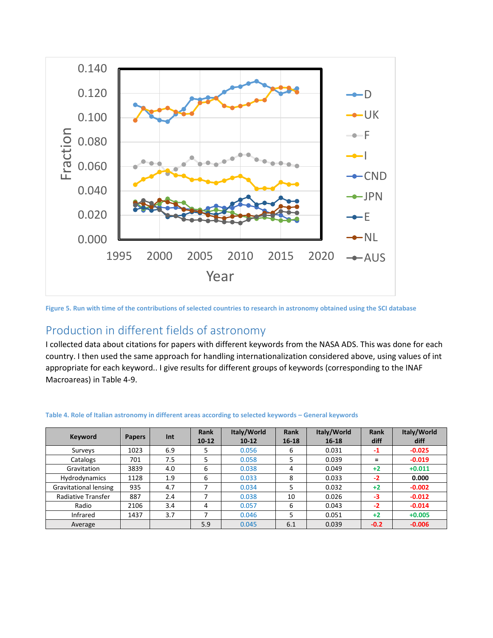

<span id="page-5-0"></span>**Figure 5. Run with time of the contributions of selected countries to research in astronomy obtained using the SCI database**

# Production in different fields of astronomy

I collected data about citations for papers with different keywords from the NASA ADS. This was done for each country. I then used the same approach for handling internationalization considered above, using values of int appropriate for each keyword.. I give results for different groups of keywords (corresponding to the INAF Macroareas) in [Table 4-](#page-5-1)9.

| <b>Keyword</b>               | <b>Papers</b> | Int | <b>Rank</b><br>$10-12$ | Italy/World<br>$10 - 12$ | <b>Rank</b><br>$16 - 18$ | Italy/World<br>$16 - 18$ | <b>Rank</b><br>diff | Italy/World<br>diff |
|------------------------------|---------------|-----|------------------------|--------------------------|--------------------------|--------------------------|---------------------|---------------------|
| Surveys                      | 1023          | 6.9 |                        | 0.056                    | 6                        | 0.031                    | $-1$                | $-0.025$            |
| Catalogs                     | 701           | 7.5 | 5                      | 0.058                    | 5                        | 0.039                    | $=$                 | $-0.019$            |
| Gravitation                  | 3839          | 4.0 | 6                      | 0.038                    | 4                        | 0.049                    | $+2$                | $+0.011$            |
| Hydrodynamics                | 1128          | 1.9 | 6                      | 0.033                    | 8                        | 0.033                    | $-2$                | 0.000               |
| <b>Gravitational lensing</b> | 935           | 4.7 |                        | 0.034                    | 5                        | 0.032                    | $+2$                | $-0.002$            |
| Radiative Transfer           | 887           | 2.4 |                        | 0.038                    | 10                       | 0.026                    | $-3$                | $-0.012$            |
| Radio                        | 2106          | 3.4 | 4                      | 0.057                    | 6                        | 0.043                    | $-2$                | $-0.014$            |
| Infrared                     | 1437          | 3.7 |                        | 0.046                    | 5                        | 0.051                    | $+2$                | $+0.005$            |
| Average                      |               |     | 5.9                    | 0.045                    | 6.1                      | 0.039                    | $-0.2$              | $-0.006$            |

#### <span id="page-5-1"></span>**Table 4. Role of Italian astronomy in different areas according to selected keywords – General keywords**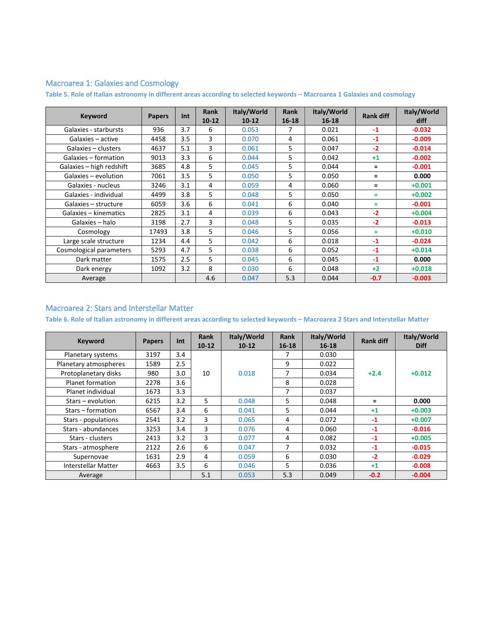### Macroarea 1: Galaxies and Cosmology

**Table 5. Role of Italian astronomy in different areas according to selected keywords – Macroarea 1 Galaxies and cosmology**

| <b>Keyword</b>           | <b>Papers</b> | Int | <b>Rank</b><br>$10 - 12$ | Italy/World<br>$10 - 12$ | <b>Rank</b><br>$16 - 18$ | Italy/World<br>$16 - 18$ | <b>Rank diff</b> | Italy/World<br>diff |
|--------------------------|---------------|-----|--------------------------|--------------------------|--------------------------|--------------------------|------------------|---------------------|
| Galaxies - starbursts    | 936           | 3.7 | 6                        | 0.053                    | 7                        | 0.021                    | $-1$             | $-0.032$            |
| Galaxies - active        | 4458          | 3.5 | 3                        | 0.070                    | 4                        | 0.061                    | $-1$             | $-0.009$            |
| Galaxies – clusters      | 4637          | 5.1 | 3                        | 0.061                    | 5                        | 0.047                    | $-2$             | $-0.014$            |
| Galaxies - formation     | 9013          | 3.3 | 6                        | 0.044                    | 5                        | 0.042                    | $+1$             | $-0.002$            |
| Galaxies - high redshift | 3685          | 4.8 | 5.                       | 0.045                    | 5                        | 0.044                    | $=$              | $-0.001$            |
| Galaxies - evolution     | 7061          | 3.5 | 5                        | 0.050                    | 5                        | 0.050                    | $=$              | 0.000               |
| Galaxies - nucleus       | 3246          | 3.1 | 4                        | 0.059                    | 4                        | 0.060                    | $=$              | $+0.001$            |
| Galaxies - individual    | 4499          | 3.8 | 5                        | 0.048                    | 5                        | 0.050                    | $=$              | $+0.002$            |
| Galaxies - structure     | 6059          | 3.6 | 6                        | 0.041                    | 6                        | 0.040                    | $=$              | $-0.001$            |
| Galaxies - kinematics    | 2825          | 3.1 | 4                        | 0.039                    | 6                        | 0.043                    | $-2$             | $+0.004$            |
| Galaxies - halo          | 3198          | 2.7 | 3                        | 0.048                    | 5                        | 0.035                    | $-2$             | $-0.013$            |
| Cosmology                | 17493         | 3.8 | 5                        | 0.046                    | 5                        | 0.056                    | Ξ                | $+0.010$            |
| Large scale structure    | 1234          | 4.4 | 5.                       | 0.042                    | 6                        | 0.018                    | $-1$             | $-0.024$            |
| Cosmological parameters  | 5293          | 4.7 | 5                        | 0.038                    | 6                        | 0.052                    | $-1$             | $+0.014$            |
| Dark matter              | 1575          | 2.5 | 5                        | 0.045                    | 6                        | 0.045                    | $-1$             | 0.000               |
| Dark energy              | 1092          | 3.2 | 8                        | 0.030                    | 6                        | 0.048                    | $+2$             | $+0.018$            |
| Average                  |               |     | 4.6                      | 0.047                    | 5.3                      | 0.044                    | $-0.7$           | $-0.003$            |

#### Macroarea 2: Stars and Interstellar Matter

**Table 6. Role of Italian astronomy in different areas according to selected keywords – Macroarea 2 Stars and Interstellar Matter**

| <b>Keyword</b>             | <b>Papers</b> | Int | <b>Rank</b><br>$10 - 12$ | Italy/World<br>$10-12$ | Rank<br>$16 - 18$ | Italy/World<br>$16 - 18$ | <b>Rank diff</b> | Italy/World<br><b>Diff</b> |
|----------------------------|---------------|-----|--------------------------|------------------------|-------------------|--------------------------|------------------|----------------------------|
| Planetary systems          | 3197          | 3.4 |                          |                        |                   | 0.030                    |                  |                            |
| Planetary atmospheres      | 1589          | 2.5 |                          |                        | 9                 | 0.022                    |                  |                            |
| Protoplanetary disks       | 980           | 3.0 | 10                       | 0.018                  | 7                 | 0.034                    | $+2.4$           | $+0.012$                   |
| Planet formation           | 2278          | 3.6 |                          |                        | 8                 | 0.028                    |                  |                            |
| Planet individual          | 1673          | 3.3 |                          |                        | 7                 | 0.037                    |                  |                            |
| Stars – evolution          | 6215          | 3.2 | 5                        | 0.048                  | 5.                | 0.048                    | $=$              | 0.000                      |
| Stars – formation          | 6567          | 3.4 | 6                        | 0.041                  | 5.                | 0.044                    | $+1$             | $+0.003$                   |
| Stars - populations        | 2541          | 3.2 | 3                        | 0.065                  | 4                 | 0.072                    | $-1$             | $+0.007$                   |
| Stars - abundances         | 3253          | 3.4 | 3                        | 0.076                  | 4                 | 0.060                    | $-1$             | $-0.016$                   |
| Stars - clusters           | 2413          | 3.2 | 3                        | 0.077                  | 4                 | 0.082                    | $-1$             | $+0.005$                   |
| Stars - atmosphere         | 2122          | 2.6 | 6                        | 0.047                  | 7                 | 0.032                    | $-1$             | $-0.015$                   |
| Supernovae                 | 1631          | 2.9 | 4                        | 0.059                  | 6                 | 0.030                    | $-2$             | $-0.029$                   |
| <b>Interstellar Matter</b> | 4663          | 3.5 | 6                        | 0.046                  | 5.                | 0.036                    | $+1$             | $-0.008$                   |
| Average                    |               |     | 5.1                      | 0.053                  | 5.3               | 0.049                    | $-0.2$           | $-0.004$                   |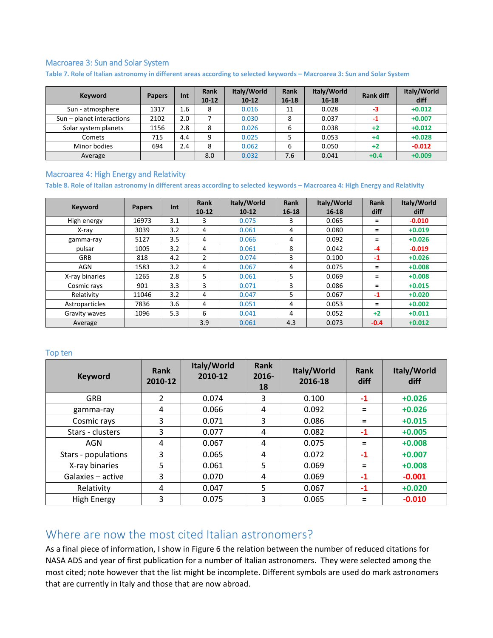#### Macroarea 3: Sun and Solar System

**Table 7. Role of Italian astronomy in different areas according to selected keywords – Macroarea 3: Sun and Solar System**

| <b>Keyword</b>            | <b>Papers</b> | Int | <b>Rank</b><br>$10-12$ | Italy/World<br>$10-12$ | Rank<br>$16 - 18$ | Italy/World<br>$16 - 18$ | <b>Rank diff</b> | Italy/World<br>diff |
|---------------------------|---------------|-----|------------------------|------------------------|-------------------|--------------------------|------------------|---------------------|
| Sun - atmosphere          | 1317          | 1.6 | 8                      | 0.016                  | 11                | 0.028                    | -3               | $+0.012$            |
| Sun - planet interactions | 2102          | 2.0 |                        | 0.030                  | 8                 | 0.037                    | -1               | $+0.007$            |
| Solar system planets      | 1156          | 2.8 | 8                      | 0.026                  | 6                 | 0.038                    | $+2$             | $+0.012$            |
| Comets                    | 715           | 4.4 | 9                      | 0.025                  |                   | 0.053                    | $+4$             | $+0.028$            |
| Minor bodies              | 694           | 2.4 | 8                      | 0.062                  | 6                 | 0.050                    | $+2$             | $-0.012$            |
| Average                   |               |     | 8.0                    | 0.032                  | 7.6               | 0.041                    | $+0.4$           | $+0.009$            |

#### Macroarea 4: High Energy and Relativity

**Table 8. Role of Italian astronomy in different areas according to selected keywords – Macroarea 4: High Energy and Relativity**

| <b>Keyword</b> | <b>Papers</b> | Int | <b>Rank</b><br>$10-12$ | Italy/World<br>$10-12$ | Rank<br>$16 - 18$ | Italy/World<br>$16 - 18$ | <b>Rank</b><br>diff | Italy/World<br>diff |
|----------------|---------------|-----|------------------------|------------------------|-------------------|--------------------------|---------------------|---------------------|
| High energy    | 16973         | 3.1 | 3                      | 0.075                  | 3                 | 0.065                    | $\equiv$            | $-0.010$            |
| X-ray          | 3039          | 3.2 | 4                      | 0.061                  | 4                 | 0.080                    | $\equiv$            | $+0.019$            |
| gamma-ray      | 5127          | 3.5 | 4                      | 0.066                  | 4                 | 0.092                    | Ξ                   | $+0.026$            |
| pulsar         | 1005          | 3.2 | 4                      | 0.061                  | 8                 | 0.042                    | $-4$                | $-0.019$            |
| GRB            | 818           | 4.2 | $\overline{2}$         | 0.074                  | 3                 | 0.100                    | $-1$                | $+0.026$            |
| AGN            | 1583          | 3.2 | 4                      | 0.067                  | 4                 | 0.075                    | Ξ                   | $+0.008$            |
| X-ray binaries | 1265          | 2.8 | 5                      | 0.061                  | 5                 | 0.069                    | Ξ                   | $+0.008$            |
| Cosmic rays    | 901           | 3.3 | 3                      | 0.071                  | 3                 | 0.086                    | $\equiv$            | $+0.015$            |
| Relativity     | 11046         | 3.2 | 4                      | 0.047                  | 5                 | 0.067                    | $-1$                | $+0.020$            |
| Astroparticles | 7836          | 3.6 | 4                      | 0.051                  | 4                 | 0.053                    | Ξ                   | $+0.002$            |
| Gravity waves  | 1096          | 5.3 | 6                      | 0.041                  | 4                 | 0.052                    | $+2$                | $+0.011$            |
| Average        |               |     | 3.9                    | 0.061                  | 4.3               | 0.073                    | $-0.4$              | $+0.012$            |

#### Top ten

| <b>Keyword</b>      | <b>Rank</b><br>2010-12 | Italy/World<br>2010-12 | Rank<br>$2016 -$<br>18 | Italy/World<br>2016-18 | Rank<br>diff | Italy/World<br>diff |
|---------------------|------------------------|------------------------|------------------------|------------------------|--------------|---------------------|
| <b>GRB</b>          | $\overline{2}$         | 0.074                  | 3                      | 0.100                  | $-1$         | $+0.026$            |
| gamma-ray           | 4                      | 0.066                  | 4                      | 0.092                  | =            | $+0.026$            |
| Cosmic rays         | 3                      | 0.071                  | 3                      | 0.086                  | $=$          | $+0.015$            |
| Stars - clusters    | 3                      | 0.077                  | 4                      | 0.082                  | $-1$         | $+0.005$            |
| <b>AGN</b>          | 4                      | 0.067                  | 4                      | 0.075                  | $=$          | $+0.008$            |
| Stars - populations | 3                      | 0.065                  | 4                      | 0.072                  | $-1$         | $+0.007$            |
| X-ray binaries      | 5                      | 0.061                  | 5                      | 0.069                  | =            | $+0.008$            |
| Galaxies - active   | 3                      | 0.070                  | 4                      | 0.069                  | $-1$         | $-0.001$            |
| Relativity          | 4                      | 0.047                  | 5                      | 0.067                  | -1           | $+0.020$            |
| <b>High Energy</b>  | 3                      | 0.075                  | 3                      | 0.065                  | Ξ            | $-0.010$            |

## Where are now the most cited Italian astronomers?

As a final piece of information, I show in [Figure 6](#page-8-0) the relation between the number of reduced citations for NASA ADS and year of first publication for a number of Italian astronomers. They were selected among the most cited; note however that the list might be incomplete. Different symbols are used do mark astronomers that are currently in Italy and those that are now abroad.